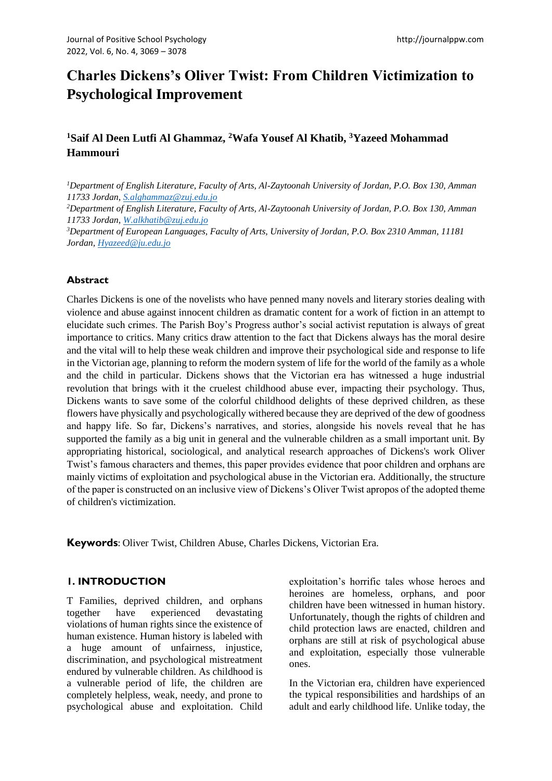# **Charles Dickens's Oliver Twist: From Children Victimization to Psychological Improvement**

# **<sup>1</sup>Saif Al Deen Lutfi Al Ghammaz, <sup>2</sup>Wafa Yousef Al Khatib, <sup>3</sup>Yazeed Mohammad Hammouri**

*<sup>1</sup>Department of English Literature, Faculty of Arts, Al-Zaytoonah University of Jordan, P.O. Box 130, Amman 11733 Jordan, [S.alghammaz@zuj.edu.jo](mailto:S.alghammaz@zuj.edu.jo)*

*<sup>2</sup>Department of English Literature, Faculty of Arts, Al-Zaytoonah University of Jordan, P.O. Box 130, Amman 11733 Jordan, [W.alkhatib@zuj.edu.jo](mailto:W.alkhatib@zuj.edu.jo)*

*<sup>3</sup>Department of European Languages, Faculty of Arts, University of Jordan, P.O. Box 2310 Amman, 11181 Jordan, [Hyazeed@ju.edu.jo](mailto:Hyazeed@ju.edu.jo)*

#### **Abstract**

Charles Dickens is one of the novelists who have penned many novels and literary stories dealing with violence and abuse against innocent children as dramatic content for a work of fiction in an attempt to elucidate such crimes. The Parish Boy's Progress author's social activist reputation is always of great importance to critics. Many critics draw attention to the fact that Dickens always has the moral desire and the vital will to help these weak children and improve their psychological side and response to life in the Victorian age, planning to reform the modern system of life for the world of the family as a whole and the child in particular. Dickens shows that the Victorian era has witnessed a huge industrial revolution that brings with it the cruelest childhood abuse ever, impacting their psychology. Thus, Dickens wants to save some of the colorful childhood delights of these deprived children, as these flowers have physically and psychologically withered because they are deprived of the dew of goodness and happy life. So far, Dickens's narratives, and stories, alongside his novels reveal that he has supported the family as a big unit in general and the vulnerable children as a small important unit. By appropriating historical, sociological, and analytical research approaches of Dickens's work Oliver Twist's famous characters and themes, this paper provides evidence that poor children and orphans are mainly victims of exploitation and psychological abuse in the Victorian era. Additionally, the structure of the paper is constructed on an inclusive view of Dickens's Oliver Twist apropos of the adopted theme of children's victimization.

**Keywords**: Oliver Twist, Children Abuse, Charles Dickens, Victorian Era.

#### **1. INTRODUCTION**

T Families, deprived children, and orphans together have experienced devastating violations of human rights since the existence of human existence. Human history is labeled with a huge amount of unfairness, injustice, discrimination, and psychological mistreatment endured by vulnerable children. As childhood is a vulnerable period of life, the children are completely helpless, weak, needy, and prone to psychological abuse and exploitation. Child exploitation's horrific tales whose heroes and heroines are homeless, orphans, and poor children have been witnessed in human history. Unfortunately, though the rights of children and child protection laws are enacted, children and orphans are still at risk of psychological abuse and exploitation, especially those vulnerable ones.

In the Victorian era, children have experienced the typical responsibilities and hardships of an adult and early childhood life. Unlike today, the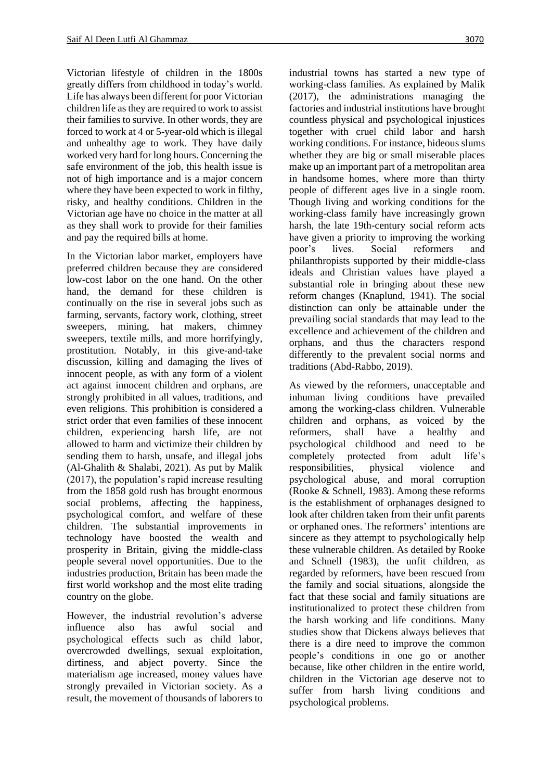Victorian lifestyle of children in the 1800s greatly differs from childhood in today's world. Life has always been different for poor Victorian children life as they are required to work to assist their families to survive. In other words, they are forced to work at 4 or 5-year-old which is illegal and unhealthy age to work. They have daily worked very hard for long hours. Concerning the safe environment of the job, this health issue is not of high importance and is a major concern where they have been expected to work in filthy, risky, and healthy conditions. Children in the Victorian age have no choice in the matter at all as they shall work to provide for their families and pay the required bills at home.

In the Victorian labor market, employers have preferred children because they are considered low-cost labor on the one hand. On the other hand, the demand for these children is continually on the rise in several jobs such as farming, servants, factory work, clothing, street sweepers, mining, hat makers, chimney sweepers, textile mills, and more horrifyingly, prostitution. Notably, in this give-and-take discussion, killing and damaging the lives of innocent people, as with any form of a violent act against innocent children and orphans, are strongly prohibited in all values, traditions, and even religions. This prohibition is considered a strict order that even families of these innocent children, experiencing harsh life, are not allowed to harm and victimize their children by sending them to harsh, unsafe, and illegal jobs (Al-Ghalith & Shalabi, 2021). As put by Malik (2017), the population's rapid increase resulting from the 1858 gold rush has brought enormous social problems, affecting the happiness, psychological comfort, and welfare of these children. The substantial improvements in technology have boosted the wealth and prosperity in Britain, giving the middle-class people several novel opportunities. Due to the industries production, Britain has been made the first world workshop and the most elite trading country on the globe.

However, the industrial revolution's adverse influence also has awful social and psychological effects such as child labor, overcrowded dwellings, sexual exploitation, dirtiness, and abject poverty. Since the materialism age increased, money values have strongly prevailed in Victorian society. As a result, the movement of thousands of laborers to industrial towns has started a new type of working-class families. As explained by Malik (2017), the administrations managing the factories and industrial institutions have brought countless physical and psychological injustices together with cruel child labor and harsh working conditions. For instance, hideous slums whether they are big or small miserable places make up an important part of a metropolitan area in handsome homes, where more than thirty people of different ages live in a single room. Though living and working conditions for the working-class family have increasingly grown harsh, the late 19th-century social reform acts have given a priority to improving the working poor's lives. Social reformers and philanthropists supported by their middle-class ideals and Christian values have played a substantial role in bringing about these new reform changes (Knaplund, 1941). The social distinction can only be attainable under the prevailing social standards that may lead to the excellence and achievement of the children and orphans, and thus the characters respond differently to the prevalent social norms and traditions (Abd-Rabbo, 2019).

As viewed by the reformers, unacceptable and inhuman living conditions have prevailed among the working-class children. Vulnerable children and orphans, as voiced by the reformers, shall have a healthy and psychological childhood and need to be completely protected from adult life's responsibilities, physical violence and psychological abuse, and moral corruption (Rooke & Schnell, 1983). Among these reforms is the establishment of orphanages designed to look after children taken from their unfit parents or orphaned ones. The reformers' intentions are sincere as they attempt to psychologically help these vulnerable children. As detailed by Rooke and Schnell (1983), the unfit children, as regarded by reformers, have been rescued from the family and social situations, alongside the fact that these social and family situations are institutionalized to protect these children from the harsh working and life conditions. Many studies show that Dickens always believes that there is a dire need to improve the common people's conditions in one go or another because, like other children in the entire world, children in the Victorian age deserve not to suffer from harsh living conditions and psychological problems.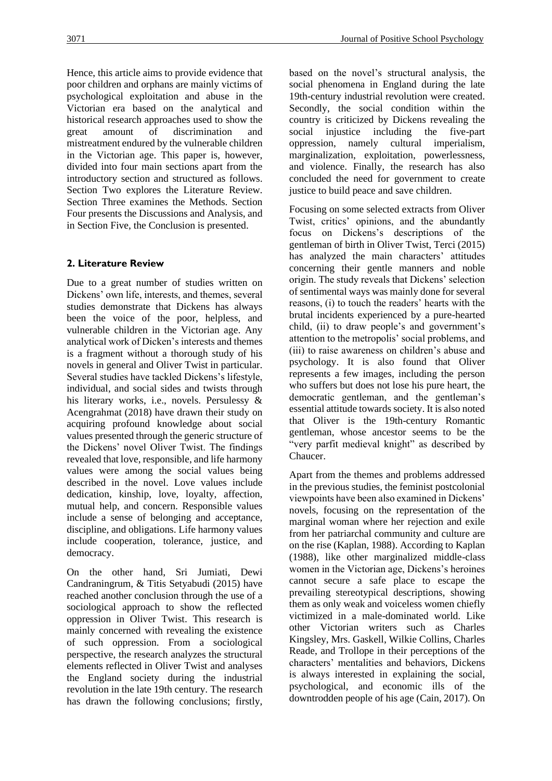Hence, this article aims to provide evidence that poor children and orphans are mainly victims of psychological exploitation and abuse in the Victorian era based on the analytical and historical research approaches used to show the great amount of discrimination and mistreatment endured by the vulnerable children in the Victorian age. This paper is, however, divided into four main sections apart from the introductory section and structured as follows. Section Two explores the Literature Review. Section Three examines the Methods. Section Four presents the Discussions and Analysis, and in Section Five, the Conclusion is presented.

# **2. Literature Review**

Due to a great number of studies written on Dickens' own life, interests, and themes, several studies demonstrate that Dickens has always been the voice of the poor, helpless, and vulnerable children in the Victorian age. Any analytical work of Dicken's interests and themes is a fragment without a thorough study of his novels in general and Oliver Twist in particular. Several studies have tackled Dickens's lifestyle, individual, and social sides and twists through his literary works, i.e., novels. Persulessy & Acengrahmat (2018) have drawn their study on acquiring profound knowledge about social values presented through the generic structure of the Dickens' novel Oliver Twist. The findings revealed that love, responsible, and life harmony values were among the social values being described in the novel. Love values include dedication, kinship, love, loyalty, affection, mutual help, and concern. Responsible values include a sense of belonging and acceptance, discipline, and obligations. Life harmony values include cooperation, tolerance, justice, and democracy.

On the other hand, Sri Jumiati, Dewi Candraningrum, & Titis Setyabudi (2015) have reached another conclusion through the use of a sociological approach to show the reflected oppression in Oliver Twist. This research is mainly concerned with revealing the existence of such oppression. From a sociological perspective, the research analyzes the structural elements reflected in Oliver Twist and analyses the England society during the industrial revolution in the late 19th century. The research has drawn the following conclusions; firstly, based on the novel's structural analysis, the social phenomena in England during the late 19th-century industrial revolution were created. Secondly, the social condition within the country is criticized by Dickens revealing the social injustice including the five-part oppression, namely cultural imperialism, marginalization, exploitation, powerlessness, and violence. Finally, the research has also concluded the need for government to create justice to build peace and save children.

Focusing on some selected extracts from Oliver Twist, critics' opinions, and the abundantly focus on Dickens's descriptions of the gentleman of birth in Oliver Twist, Terci (2015) has analyzed the main characters' attitudes concerning their gentle manners and noble origin. The study reveals that Dickens' selection of sentimental ways was mainly done for several reasons, (i) to touch the readers' hearts with the brutal incidents experienced by a pure-hearted child, (ii) to draw people's and government's attention to the metropolis' social problems, and (iii) to raise awareness on children's abuse and psychology. It is also found that Oliver represents a few images, including the person who suffers but does not lose his pure heart, the democratic gentleman, and the gentleman's essential attitude towards society. It is also noted that Oliver is the 19th-century Romantic gentleman, whose ancestor seems to be the "very parfit medieval knight" as described by Chaucer.

Apart from the themes and problems addressed in the previous studies, the feminist postcolonial viewpoints have been also examined in Dickens' novels, focusing on the representation of the marginal woman where her rejection and exile from her patriarchal community and culture are on the rise (Kaplan, 1988). According to Kaplan (1988), like other marginalized middle-class women in the Victorian age, Dickens's heroines cannot secure a safe place to escape the prevailing stereotypical descriptions, showing them as only weak and voiceless women chiefly victimized in a male-dominated world. Like other Victorian writers such as Charles Kingsley, Mrs. Gaskell, Wilkie Collins, Charles Reade, and Trollope in their perceptions of the characters' mentalities and behaviors, Dickens is always interested in explaining the social, psychological, and economic ills of the downtrodden people of his age (Cain, 2017). On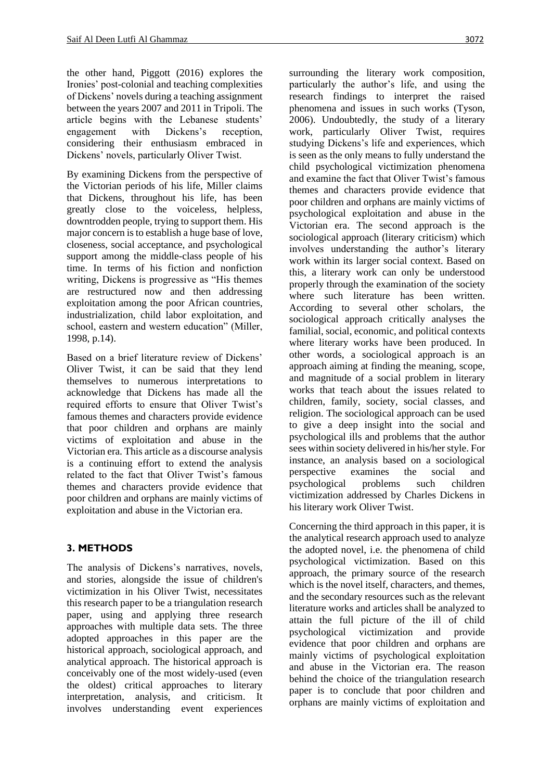the other hand, Piggott (2016) explores the Ironies' post-colonial and teaching complexities of Dickens' novels during a teaching assignment between the years 2007 and 2011 in Tripoli. The article begins with the Lebanese students' engagement with Dickens's reception, considering their enthusiasm embraced in Dickens' novels, particularly Oliver Twist.

By examining Dickens from the perspective of the Victorian periods of his life, Miller claims that Dickens, throughout his life, has been greatly close to the voiceless, helpless, downtrodden people, trying to support them. His major concern is to establish a huge base of love, closeness, social acceptance, and psychological support among the middle-class people of his time. In terms of his fiction and nonfiction writing, Dickens is progressive as "His themes are restructured now and then addressing exploitation among the poor African countries, industrialization, child labor exploitation, and school, eastern and western education" (Miller, 1998, p.14).

Based on a brief literature review of Dickens' Oliver Twist, it can be said that they lend themselves to numerous interpretations to acknowledge that Dickens has made all the required efforts to ensure that Oliver Twist's famous themes and characters provide evidence that poor children and orphans are mainly victims of exploitation and abuse in the Victorian era. This article as a discourse analysis is a continuing effort to extend the analysis related to the fact that Oliver Twist's famous themes and characters provide evidence that poor children and orphans are mainly victims of exploitation and abuse in the Victorian era.

# **3. METHODS**

The analysis of Dickens's narratives, novels, and stories, alongside the issue of children's victimization in his Oliver Twist, necessitates this research paper to be a triangulation research paper, using and applying three research approaches with multiple data sets. The three adopted approaches in this paper are the historical approach, sociological approach, and analytical approach. The historical approach is conceivably one of the most widely-used (even the oldest) critical approaches to literary interpretation, analysis, and criticism. It involves understanding event experiences surrounding the literary work composition, particularly the author's life, and using the research findings to interpret the raised phenomena and issues in such works (Tyson, 2006). Undoubtedly, the study of a literary work, particularly Oliver Twist, requires studying Dickens's life and experiences, which is seen as the only means to fully understand the child psychological victimization phenomena and examine the fact that Oliver Twist's famous themes and characters provide evidence that poor children and orphans are mainly victims of psychological exploitation and abuse in the Victorian era. The second approach is the sociological approach (literary criticism) which involves understanding the author's literary work within its larger social context. Based on this, a literary work can only be understood properly through the examination of the society where such literature has been written. According to several other scholars, the sociological approach critically analyses the familial, social, economic, and political contexts where literary works have been produced. In other words, a sociological approach is an approach aiming at finding the meaning, scope, and magnitude of a social problem in literary works that teach about the issues related to children, family, society, social classes, and religion. The sociological approach can be used to give a deep insight into the social and psychological ills and problems that the author sees within society delivered in his/her style. For instance, an analysis based on a sociological perspective examines the social and psychological problems such children victimization addressed by Charles Dickens in his literary work Oliver Twist.

Concerning the third approach in this paper, it is the analytical research approach used to analyze the adopted novel, i.e. the phenomena of child psychological victimization. Based on this approach, the primary source of the research which is the novel itself, characters, and themes. and the secondary resources such as the relevant literature works and articles shall be analyzed to attain the full picture of the ill of child psychological victimization and provide evidence that poor children and orphans are mainly victims of psychological exploitation and abuse in the Victorian era. The reason behind the choice of the triangulation research paper is to conclude that poor children and orphans are mainly victims of exploitation and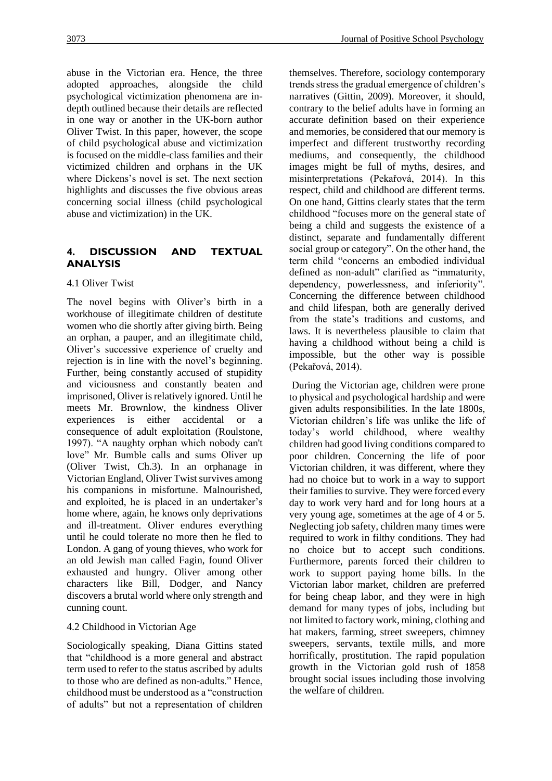abuse in the Victorian era. Hence, the three adopted approaches, alongside the child psychological victimization phenomena are indepth outlined because their details are reflected in one way or another in the UK-born author Oliver Twist. In this paper, however, the scope of child psychological abuse and victimization is focused on the middle-class families and their victimized children and orphans in the UK where Dickens's novel is set. The next section highlights and discusses the five obvious areas concerning social illness (child psychological abuse and victimization) in the UK.

# **4. DISCUSSION AND TEXTUAL ANALYSIS**

#### 4.1 Oliver Twist

The novel begins with Oliver's birth in a workhouse of illegitimate children of destitute women who die shortly after giving birth. Being an orphan, a pauper, and an illegitimate child, Oliver's successive experience of cruelty and rejection is in line with the novel's beginning. Further, being constantly accused of stupidity and viciousness and constantly beaten and imprisoned, Oliver is relatively ignored. Until he meets Mr. Brownlow, the kindness Oliver experiences is either accidental or a consequence of adult exploitation (Roulstone, 1997). "A naughty orphan which nobody can't love" Mr. Bumble calls and sums Oliver up (Oliver Twist, Ch.3). In an orphanage in Victorian England, Oliver Twist survives among his companions in misfortune. Malnourished, and exploited, he is placed in an undertaker's home where, again, he knows only deprivations and ill-treatment. Oliver endures everything until he could tolerate no more then he fled to London. A gang of young thieves, who work for an old Jewish man called Fagin, found Oliver exhausted and hungry. Oliver among other characters like Bill, Dodger, and Nancy discovers a brutal world where only strength and cunning count.

#### 4.2 Childhood in Victorian Age

Sociologically speaking, Diana Gittins stated that "childhood is a more general and abstract term used to refer to the status ascribed by adults to those who are defined as non-adults." Hence, childhood must be understood as a "construction of adults" but not a representation of children themselves. Therefore, sociology contemporary trends stress the gradual emergence of children's narratives (Gittin, 2009). Moreover, it should, contrary to the belief adults have in forming an accurate definition based on their experience and memories, be considered that our memory is imperfect and different trustworthy recording mediums, and consequently, the childhood images might be full of myths, desires, and misinterpretations (Pekařová, 2014). In this respect, child and childhood are different terms. On one hand, Gittins clearly states that the term childhood "focuses more on the general state of being a child and suggests the existence of a distinct, separate and fundamentally different social group or category". On the other hand, the term child "concerns an embodied individual defined as non-adult" clarified as "immaturity, dependency, powerlessness, and inferiority". Concerning the difference between childhood and child lifespan, both are generally derived from the state's traditions and customs, and laws. It is nevertheless plausible to claim that having a childhood without being a child is impossible, but the other way is possible (Pekařová, 2014).

During the Victorian age, children were prone to physical and psychological hardship and were given adults responsibilities. In the late 1800s, Victorian children's life was unlike the life of today's world childhood, where wealthy children had good living conditions compared to poor children. Concerning the life of poor Victorian children, it was different, where they had no choice but to work in a way to support their families to survive. They were forced every day to work very hard and for long hours at a very young age, sometimes at the age of 4 or 5. Neglecting job safety, children many times were required to work in filthy conditions. They had no choice but to accept such conditions. Furthermore, parents forced their children to work to support paying home bills. In the Victorian labor market, children are preferred for being cheap labor, and they were in high demand for many types of jobs, including but not limited to factory work, mining, clothing and hat makers, farming, street sweepers, chimney sweepers, servants, textile mills, and more horrifically, prostitution. The rapid population growth in the Victorian gold rush of 1858 brought social issues including those involving the welfare of children.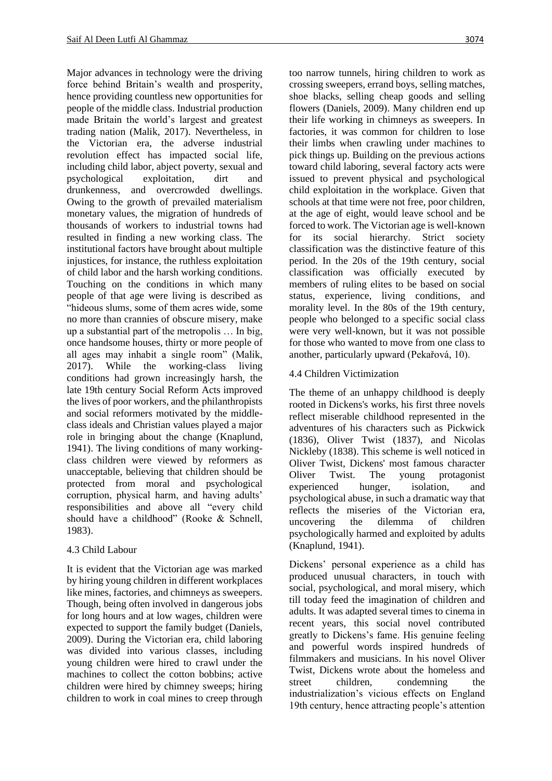Major advances in technology were the driving force behind Britain's wealth and prosperity, hence providing countless new opportunities for people of the middle class. Industrial production made Britain the world's largest and greatest trading nation (Malik, 2017). Nevertheless, in the Victorian era, the adverse industrial revolution effect has impacted social life, including child labor, abject poverty, sexual and psychological exploitation, dirt and drunkenness, and overcrowded dwellings. Owing to the growth of prevailed materialism monetary values, the migration of hundreds of thousands of workers to industrial towns had resulted in finding a new working class. The institutional factors have brought about multiple injustices, for instance, the ruthless exploitation of child labor and the harsh working conditions. Touching on the conditions in which many people of that age were living is described as "hideous slums, some of them acres wide, some no more than crannies of obscure misery, make up a substantial part of the metropolis … In big, once handsome houses, thirty or more people of all ages may inhabit a single room" (Malik, 2017). While the working-class living conditions had grown increasingly harsh, the late 19th century Social Reform Acts improved the lives of poor workers, and the philanthropists and social reformers motivated by the middleclass ideals and Christian values played a major role in bringing about the change (Knaplund, 1941). The living conditions of many workingclass children were viewed by reformers as unacceptable, believing that children should be protected from moral and psychological corruption, physical harm, and having adults' responsibilities and above all "every child should have a childhood" (Rooke & Schnell, 1983).

# 4.3 Child Labour

It is evident that the Victorian age was marked by hiring young children in different workplaces like mines, factories, and chimneys as sweepers. Though, being often involved in dangerous jobs for long hours and at low wages, children were expected to support the family budget (Daniels, 2009). During the Victorian era, child laboring was divided into various classes, including young children were hired to crawl under the machines to collect the cotton bobbins; active children were hired by chimney sweeps; hiring children to work in coal mines to creep through too narrow tunnels, hiring children to work as crossing sweepers, errand boys, selling matches, shoe blacks, selling cheap goods and selling flowers (Daniels, 2009). Many children end up their life working in chimneys as sweepers. In factories, it was common for children to lose their limbs when crawling under machines to pick things up. Building on the previous actions toward child laboring, several factory acts were issued to prevent physical and psychological child exploitation in the workplace. Given that schools at that time were not free, poor children, at the age of eight, would leave school and be forced to work. The Victorian age is well-known for its social hierarchy. Strict society classification was the distinctive feature of this period. In the 20s of the 19th century, social classification was officially executed by members of ruling elites to be based on social status, experience, living conditions, and morality level. In the 80s of the 19th century, people who belonged to a specific social class were very well-known, but it was not possible for those who wanted to move from one class to another, particularly upward (Pekařová, 10).

### 4.4 Children Victimization

The theme of an unhappy childhood is deeply rooted in Dickens's works, his first three novels reflect miserable childhood represented in the adventures of his characters such as Pickwick (1836), Oliver Twist (1837), and Nicolas Nickleby (1838). This scheme is well noticed in Oliver Twist, Dickens' most famous character Oliver Twist. The young protagonist experienced hunger, isolation, and psychological abuse, in such a dramatic way that reflects the miseries of the Victorian era, uncovering the dilemma of children psychologically harmed and exploited by adults (Knaplund, 1941).

Dickens' personal experience as a child has produced unusual characters, in touch with social, psychological, and moral misery, which till today feed the imagination of children and adults. It was adapted several times to cinema in recent years, this social novel contributed greatly to Dickens's fame. His genuine feeling and powerful words inspired hundreds of filmmakers and musicians. In his novel Oliver Twist, Dickens wrote about the homeless and street children, condemning the industrialization's vicious effects on England 19th century, hence attracting people's attention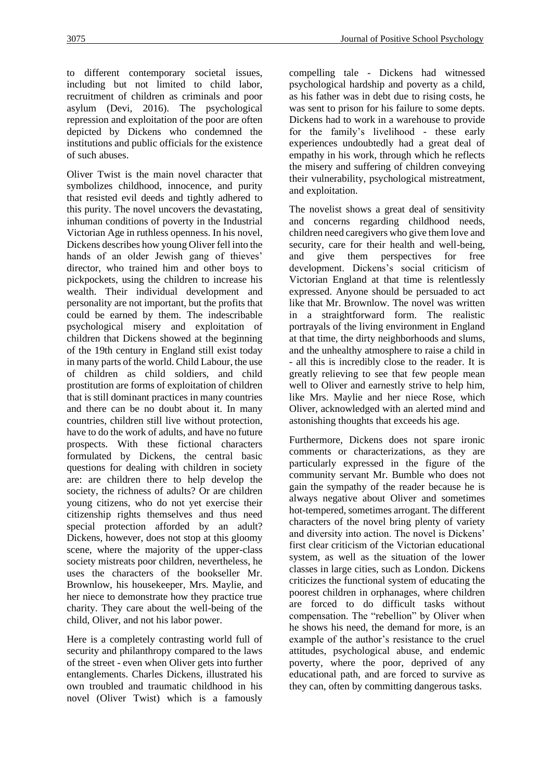to different contemporary societal issues, including but not limited to child labor, recruitment of children as criminals and poor asylum (Devi, 2016). The psychological repression and exploitation of the poor are often depicted by Dickens who condemned the institutions and public officials for the existence of such abuses.

Oliver Twist is the main novel character that symbolizes childhood, innocence, and purity that resisted evil deeds and tightly adhered to this purity. The novel uncovers the devastating, inhuman conditions of poverty in the Industrial Victorian Age in ruthless openness. In his novel, Dickens describes how young Oliver fell into the hands of an older Jewish gang of thieves' director, who trained him and other boys to pickpockets, using the children to increase his wealth. Their individual development and personality are not important, but the profits that could be earned by them. The indescribable psychological misery and exploitation of children that Dickens showed at the beginning of the 19th century in England still exist today in many parts of the world. Child Labour, the use of children as child soldiers, and child prostitution are forms of exploitation of children that is still dominant practices in many countries and there can be no doubt about it. In many countries, children still live without protection, have to do the work of adults, and have no future prospects. With these fictional characters formulated by Dickens, the central basic questions for dealing with children in society are: are children there to help develop the society, the richness of adults? Or are children young citizens, who do not yet exercise their citizenship rights themselves and thus need special protection afforded by an adult? Dickens, however, does not stop at this gloomy scene, where the majority of the upper-class society mistreats poor children, nevertheless, he uses the characters of the bookseller Mr. Brownlow, his housekeeper, Mrs. Maylie, and her niece to demonstrate how they practice true charity. They care about the well-being of the child, Oliver, and not his labor power.

Here is a completely contrasting world full of security and philanthropy compared to the laws of the street - even when Oliver gets into further entanglements. Charles Dickens, illustrated his own troubled and traumatic childhood in his novel (Oliver Twist) which is a famously compelling tale - Dickens had witnessed psychological hardship and poverty as a child, as his father was in debt due to rising costs, he was sent to prison for his failure to some depts. Dickens had to work in a warehouse to provide for the family's livelihood - these early experiences undoubtedly had a great deal of empathy in his work, through which he reflects the misery and suffering of children conveying their vulnerability, psychological mistreatment, and exploitation.

The novelist shows a great deal of sensitivity and concerns regarding childhood needs, children need caregivers who give them love and security, care for their health and well-being, and give them perspectives for free development. Dickens's social criticism of Victorian England at that time is relentlessly expressed. Anyone should be persuaded to act like that Mr. Brownlow. The novel was written in a straightforward form. The realistic portrayals of the living environment in England at that time, the dirty neighborhoods and slums, and the unhealthy atmosphere to raise a child in - all this is incredibly close to the reader. It is greatly relieving to see that few people mean well to Oliver and earnestly strive to help him, like Mrs. Maylie and her niece Rose, which Oliver, acknowledged with an alerted mind and astonishing thoughts that exceeds his age.

Furthermore, Dickens does not spare ironic comments or characterizations, as they are particularly expressed in the figure of the community servant Mr. Bumble who does not gain the sympathy of the reader because he is always negative about Oliver and sometimes hot-tempered, sometimes arrogant. The different characters of the novel bring plenty of variety and diversity into action. The novel is Dickens' first clear criticism of the Victorian educational system, as well as the situation of the lower classes in large cities, such as London. Dickens criticizes the functional system of educating the poorest children in orphanages, where children are forced to do difficult tasks without compensation. The "rebellion" by Oliver when he shows his need, the demand for more, is an example of the author's resistance to the cruel attitudes, psychological abuse, and endemic poverty, where the poor, deprived of any educational path, and are forced to survive as they can, often by committing dangerous tasks.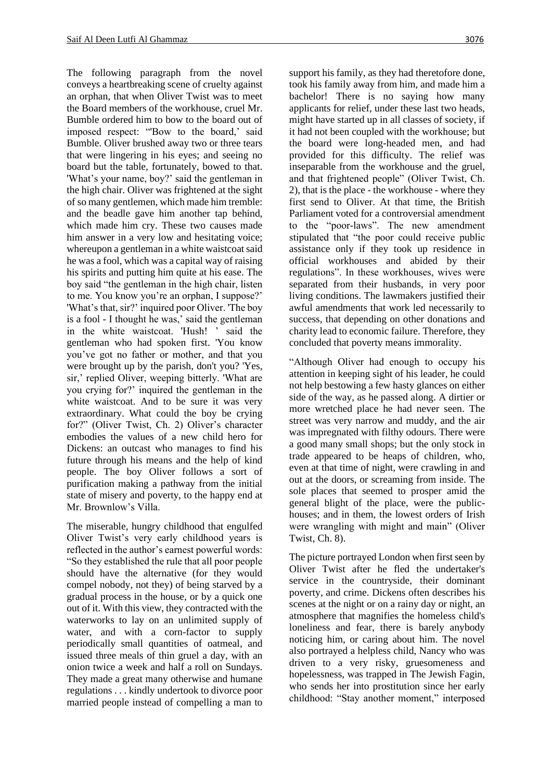The following paragraph from the novel conveys a heartbreaking scene of cruelty against an orphan, that when Oliver Twist was to meet the Board members of the workhouse, cruel Mr. Bumble ordered him to bow to the board out of imposed respect: "'Bow to the board,' said Bumble. Oliver brushed away two or three tears that were lingering in his eyes; and seeing no board but the table, fortunately, bowed to that. 'What's your name, boy?' said the gentleman in the high chair. Oliver was frightened at the sight of so many gentlemen, which made him tremble: and the beadle gave him another tap behind, which made him cry. These two causes made him answer in a very low and hesitating voice; whereupon a gentleman in a white waistcoat said he was a fool, which was a capital way of raising his spirits and putting him quite at his ease. The boy said "the gentleman in the high chair, listen to me. You know you're an orphan, I suppose?' 'What's that, sir?' inquired poor Oliver. 'The boy is a fool - I thought he was,' said the gentleman in the white waistcoat. 'Hush! ' said the gentleman who had spoken first. 'You know you've got no father or mother, and that you were brought up by the parish, don't you? 'Yes, sir,' replied Oliver, weeping bitterly. 'What are you crying for?' inquired the gentleman in the white waistcoat. And to be sure it was very extraordinary. What could the boy be crying for?" (Oliver Twist, Ch. 2) Oliver's character embodies the values of a new child hero for Dickens: an outcast who manages to find his future through his means and the help of kind people. The boy Oliver follows a sort of purification making a pathway from the initial state of misery and poverty, to the happy end at Mr. Brownlow's Villa.

The miserable, hungry childhood that engulfed Oliver Twist's very early childhood years is reflected in the author's earnest powerful words: "So they established the rule that all poor people should have the alternative (for they would compel nobody, not they) of being starved by a gradual process in the house, or by a quick one out of it. With this view, they contracted with the waterworks to lay on an unlimited supply of water, and with a corn-factor to supply periodically small quantities of oatmeal, and issued three meals of thin gruel a day, with an onion twice a week and half a roll on Sundays. They made a great many otherwise and humane regulations . . . kindly undertook to divorce poor married people instead of compelling a man to

support his family, as they had theretofore done, took his family away from him, and made him a bachelor! There is no saying how many applicants for relief, under these last two heads, might have started up in all classes of society, if it had not been coupled with the workhouse; but the board were long-headed men, and had provided for this difficulty. The relief was inseparable from the workhouse and the gruel, and that frightened people" (Oliver Twist, Ch. 2), that is the place - the workhouse - where they first send to Oliver. At that time, the British Parliament voted for a controversial amendment to the "poor-laws". The new amendment stipulated that "the poor could receive public assistance only if they took up residence in official workhouses and abided by their regulations". In these workhouses, wives were separated from their husbands, in very poor living conditions. The lawmakers justified their awful amendments that work led necessarily to success, that depending on other donations and charity lead to economic failure. Therefore, they concluded that poverty means immorality.

"Although Oliver had enough to occupy his attention in keeping sight of his leader, he could not help bestowing a few hasty glances on either side of the way, as he passed along. A dirtier or more wretched place he had never seen. The street was very narrow and muddy, and the air was impregnated with filthy odours. There were a good many small shops; but the only stock in trade appeared to be heaps of children, who, even at that time of night, were crawling in and out at the doors, or screaming from inside. The sole places that seemed to prosper amid the general blight of the place, were the publichouses; and in them, the lowest orders of Irish were wrangling with might and main" (Oliver Twist, Ch. 8).

The picture portrayed London when first seen by Oliver Twist after he fled the undertaker's service in the countryside, their dominant poverty, and crime. Dickens often describes his scenes at the night or on a rainy day or night, an atmosphere that magnifies the homeless child's loneliness and fear, there is barely anybody noticing him, or caring about him. The novel also portrayed a helpless child, Nancy who was driven to a very risky, gruesomeness and hopelessness, was trapped in The Jewish Fagin, who sends her into prostitution since her early childhood: "Stay another moment," interposed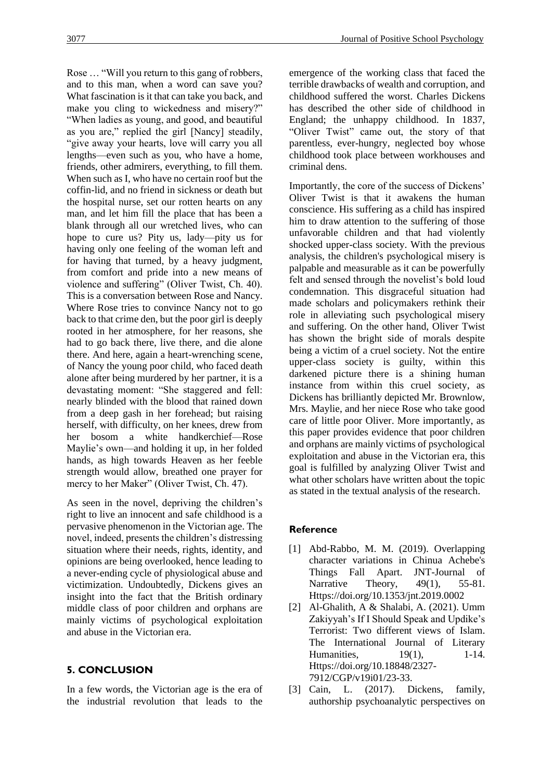Rose … "Will you return to this gang of robbers, and to this man, when a word can save you? What fascination is it that can take you back, and make you cling to wickedness and misery?" "When ladies as young, and good, and beautiful as you are," replied the girl [Nancy] steadily, "give away your hearts, love will carry you all lengths—even such as you, who have a home, friends, other admirers, everything, to fill them. When such as I, who have no certain roof but the coffin-lid, and no friend in sickness or death but the hospital nurse, set our rotten hearts on any man, and let him fill the place that has been a blank through all our wretched lives, who can hope to cure us? Pity us, lady—pity us for having only one feeling of the woman left and for having that turned, by a heavy judgment, from comfort and pride into a new means of violence and suffering" (Oliver Twist, Ch. 40). This is a conversation between Rose and Nancy. Where Rose tries to convince Nancy not to go back to that crime den, but the poor girl is deeply rooted in her atmosphere, for her reasons, she had to go back there, live there, and die alone there. And here, again a heart-wrenching scene, of Nancy the young poor child, who faced death alone after being murdered by her partner, it is a devastating moment: "She staggered and fell: nearly blinded with the blood that rained down from a deep gash in her forehead; but raising herself, with difficulty, on her knees, drew from her bosom a white handkerchief—Rose Maylie's own—and holding it up, in her folded hands, as high towards Heaven as her feeble strength would allow, breathed one prayer for mercy to her Maker" (Oliver Twist, Ch. 47).

As seen in the novel, depriving the children's right to live an innocent and safe childhood is a pervasive phenomenon in the Victorian age. The novel, indeed, presents the children's distressing situation where their needs, rights, identity, and opinions are being overlooked, hence leading to a never-ending cycle of physiological abuse and victimization. Undoubtedly, Dickens gives an insight into the fact that the British ordinary middle class of poor children and orphans are mainly victims of psychological exploitation and abuse in the Victorian era.

# **5. CONCLUSION**

In a few words, the Victorian age is the era of the industrial revolution that leads to the

emergence of the working class that faced the terrible drawbacks of wealth and corruption, and childhood suffered the worst. Charles Dickens has described the other side of childhood in England; the unhappy childhood. In 1837, "Oliver Twist" came out, the story of that parentless, ever-hungry, neglected boy whose childhood took place between workhouses and criminal dens.

Importantly, the core of the success of Dickens' Oliver Twist is that it awakens the human conscience. His suffering as a child has inspired him to draw attention to the suffering of those unfavorable children and that had violently shocked upper-class society. With the previous analysis, the children's psychological misery is palpable and measurable as it can be powerfully felt and sensed through the novelist's bold loud condemnation. This disgraceful situation had made scholars and policymakers rethink their role in alleviating such psychological misery and suffering. On the other hand, Oliver Twist has shown the bright side of morals despite being a victim of a cruel society. Not the entire upper-class society is guilty, within this darkened picture there is a shining human instance from within this cruel society, as Dickens has brilliantly depicted Mr. Brownlow, Mrs. Maylie, and her niece Rose who take good care of little poor Oliver. More importantly, as this paper provides evidence that poor children and orphans are mainly victims of psychological exploitation and abuse in the Victorian era, this goal is fulfilled by analyzing Oliver Twist and what other scholars have written about the topic as stated in the textual analysis of the research.

# **Reference**

- [1] Abd-Rabbo, M. M. (2019). Overlapping character variations in Chinua Achebe's Things Fall Apart. JNT-Journal of Narrative Theory, 49(1), 55-81. Https://doi.org/10.1353/jnt.2019.0002
- [2] Al-Ghalith, A & Shalabi, A. (2021). Umm Zakiyyah's If I Should Speak and Updike's Terrorist: Two different views of Islam. The International Journal of Literary Humanities, 19(1), 1-14. Https://doi.org/10.18848/2327- 7912/CGP/v19i01/23-33.
- [3] Cain, L. (2017). Dickens, family, authorship psychoanalytic perspectives on